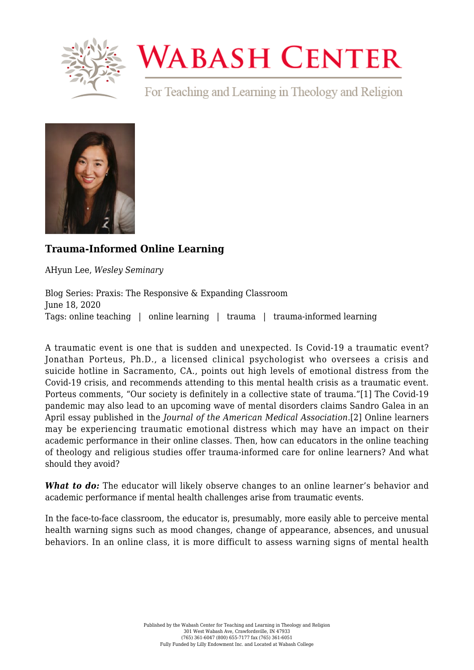

## **WABASH CENTER**

For Teaching and Learning in Theology and Religion



## **[Trauma-Informed Online Learning](https://www.wabashcenter.wabash.edu/2020/06/trauma-informed-online-learning/)**

AHyun Lee, *Wesley Seminary*

Blog Series: Praxis: The Responsive & Expanding Classroom June 18, 2020 Tags: online teaching | online learning | trauma | trauma-informed learning

<span id="page-0-0"></span>A traumatic event is one that is sudden and unexpected. Is Covid-19 a traumatic event? Jonathan Porteus, Ph.D., a licensed clinical psychologist who oversees a crisis and [suicide](https://www.wabashcenter.wabash.edu/about:blank) hotline in Sacramento, CA., points out high levels of emotional distress from the Covid-19 crisis, and recommends attending to this mental health crisis as a traumatic event. Porteus comments, "Our society is definitely in a collective state of trauma."[\[1\]](#page-2-0) The Covid-19 pandemic may also lead to an upcoming wave of mental disorders claims Sandro Galea in an April essay published in the *Journal of the American Medical Association*[.\[2\]](#page-2-1) Online learners may be experiencing traumatic emotional distress which may have an impact on their academic performance in their online classes. Then, how can educators in the online teaching of theology and religious studies offer trauma-informed care for online learners? And what should they avoid?

<span id="page-0-1"></span>*What to do:* The educator will likely observe changes to an online learner's behavior and academic performance if mental health challenges arise from traumatic events.

In the face-to-face classroom, the educator is, presumably, more easily able to perceive mental health warning signs such as mood changes, change of appearance, absences, and unusual behaviors. In an online class, it is more difficult to assess warning signs of mental health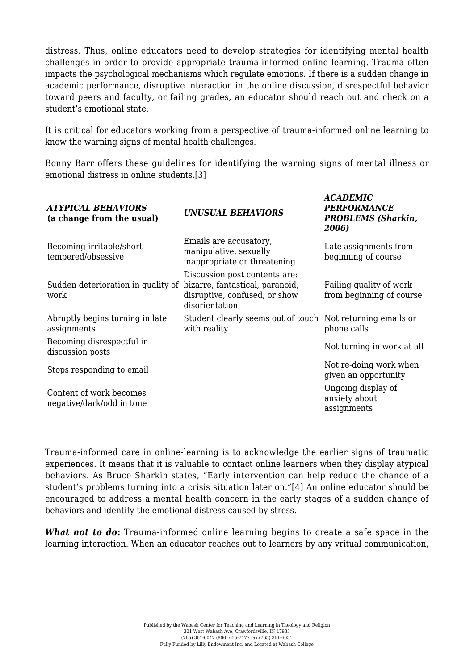distress. Thus, online educators need to develop strategies for identifying mental health challenges in order to provide appropriate trauma-informed online learning. Trauma often impacts the psychological mechanisms which regulate emotions. If there is a sudden change in academic performance, disruptive interaction in the online discussion, disrespectful behavior toward peers and faculty, or failing grades, an educator should reach out and check on a student's emotional state.

It is critical for educators working from a perspective of trauma-informed online learning to know the warning signs of mental health challenges.

<span id="page-1-0"></span>Bonny Barr offers these guidelines for identifying the warning signs of mental illness or emotional distress in online students.[\[3\]](#page-2-2)

*ACADEMIC*

| <b>ATYPICAL BEHAVIORS</b><br>(a change from the usual) | <b>UNUSUAL BEHAVIORS</b>                                                                                            | <b>PERFORMANCE</b><br><b>PROBLEMS</b> (Sharkin,<br>2006) |
|--------------------------------------------------------|---------------------------------------------------------------------------------------------------------------------|----------------------------------------------------------|
| Becoming irritable/short-<br>tempered/obsessive        | Emails are accusatory,<br>manipulative, sexually<br>inappropriate or threatening                                    | Late assignments from<br>beginning of course             |
| Sudden deterioration in quality of<br>work             | Discussion post contents are:<br>bizarre, fantastical, paranoid,<br>disruptive, confused, or show<br>disorientation | Failing quality of work<br>from beginning of course      |
| Abruptly begins turning in late<br>assignments         | Student clearly seems out of touch Not returning emails or<br>with reality                                          | phone calls                                              |
| Becoming disrespectful in<br>discussion posts          |                                                                                                                     | Not turning in work at all                               |
| Stops responding to email                              |                                                                                                                     | Not re-doing work when<br>given an opportunity           |
| Content of work becomes<br>negative/dark/odd in tone   |                                                                                                                     | Ongoing display of<br>anxiety about<br>assignments       |

<span id="page-1-1"></span>Trauma-informed care in online-learning is to acknowledge the earlier signs of traumatic experiences. It means that it is valuable to contact online learners when they display atypical behaviors. As Bruce Sharkin states, "Early intervention can help reduce the chance of a student's problems turning into a crisis situation later on."[\[4\]](#page-2-3) An online educator should be encouraged to address a mental health concern in the early stages of a sudden change of behaviors and identify the emotional distress caused by stress.

*What not to do***:** Trauma-informed online learning begins to create a safe space in the learning interaction. When an educator reaches out to learners by any vritual communication,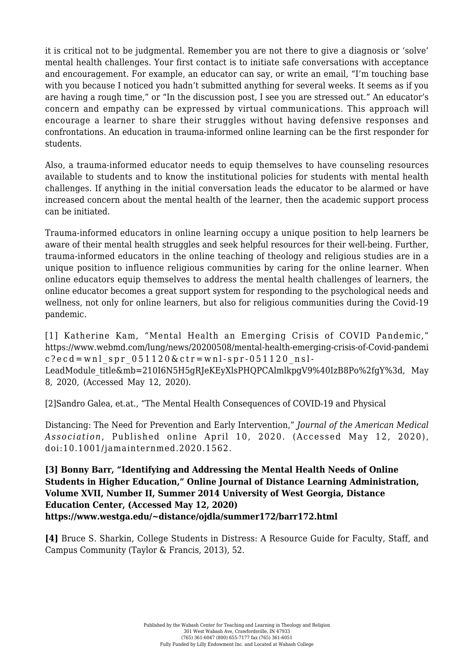it is critical not to be judgmental. Remember you are not there to give a diagnosis or 'solve' mental health challenges. Your first contact is to initiate safe conversations with acceptance and encouragement. For example, an educator can say, or write an email, "I'm touching base with you because I noticed you hadn't submitted anything for several weeks. It seems as if you are having a rough time," or "In the discussion post, I see you are stressed out." An educator's concern and empathy can be expressed by virtual communications. This approach will encourage a learner to share their struggles without having defensive responses and confrontations. An education in trauma-informed online learning can be the first responder for students.

Also, a trauma-informed educator needs to equip themselves to have counseling resources available to students and to know the institutional policies for students with mental health challenges. If anything in the initial conversation leads the educator to be alarmed or have increased concern about the mental health of the learner, then the academic support process can be initiated.

Trauma-informed educators in online learning occupy a unique position to help learners be aware of their mental health struggles and seek helpful resources for their well-being. Further, trauma-informed educators in the online teaching of theology and religious studies are in a unique position to influence religious communities by caring for the online learner. When online educators equip themselves to address the mental health challenges of learners, the online educator becomes a great support system for responding to the psychological needs and wellness, not only for online learners, but also for religious communities during the Covid-19 pandemic.

<span id="page-2-0"></span>[\[1\]](#page-0-0) Katherine Kam, "Mental Health an Emerging Crisis of COVID Pandemic," [https://www.webmd.com/lung/news/20200508/mental-health-emerging-crisis-of-Covid-pandemi](https://www.wabashcenter.wabash.edu/about:blank)  $c?ecd=wnl$  spr  $051120&ctr=wnl-spr-051120msl-$ LeadModule title&mb=210I6N5H5gRJeKEyXlsPHQPCAlmlkpgV9%40IzB8Po%2fgY%3d, May 8, 2020, (Accessed May 12, 2020).

<span id="page-2-1"></span>[\[2\]S](#page-0-1)andro Galea, et.at., "The Mental Health Consequences of COVID-19 and Physical

Distancing: The Need for Prevention and Early Intervention," *Journal of the American Medical Association*, Published online April 10, 2020. (Accessed May 12, 2020), doi:10.1001/jamainternmed.2020.1562.

<span id="page-2-2"></span>**[\[3\]](#page-1-0) Bonny Barr, "Identifying and Addressing the Mental Health Needs of Online Students in Higher Education," Online Journal of Distance Learning Administration, Volume XVII, Number II, Summer 2014 University of West Georgia, Distance Education Center, (Accessed May 12, 2020) [https://www.westga.edu/~distance/ojdla/summer172/barr172.html](https://www.wabashcenter.wabash.edu/about:blank)**

<span id="page-2-3"></span>**[\[4\]](#page-1-1)** Bruce S. Sharkin, College Students in Distress: A Resource Guide for Faculty, Staff, and Campus Community (Taylor & Francis, 2013), 52.